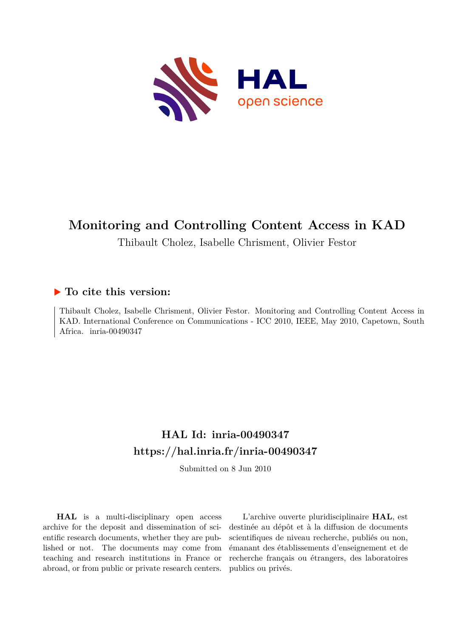

## **Monitoring and Controlling Content Access in KAD**

Thibault Cholez, Isabelle Chrisment, Olivier Festor

### **To cite this version:**

Thibault Cholez, Isabelle Chrisment, Olivier Festor. Monitoring and Controlling Content Access in KAD. International Conference on Communications - ICC 2010, IEEE, May 2010, Capetown, South Africa. inria-00490347

## **HAL Id: inria-00490347 <https://hal.inria.fr/inria-00490347>**

Submitted on 8 Jun 2010

**HAL** is a multi-disciplinary open access archive for the deposit and dissemination of scientific research documents, whether they are published or not. The documents may come from teaching and research institutions in France or abroad, or from public or private research centers.

L'archive ouverte pluridisciplinaire **HAL**, est destinée au dépôt et à la diffusion de documents scientifiques de niveau recherche, publiés ou non, émanant des établissements d'enseignement et de recherche français ou étrangers, des laboratoires publics ou privés.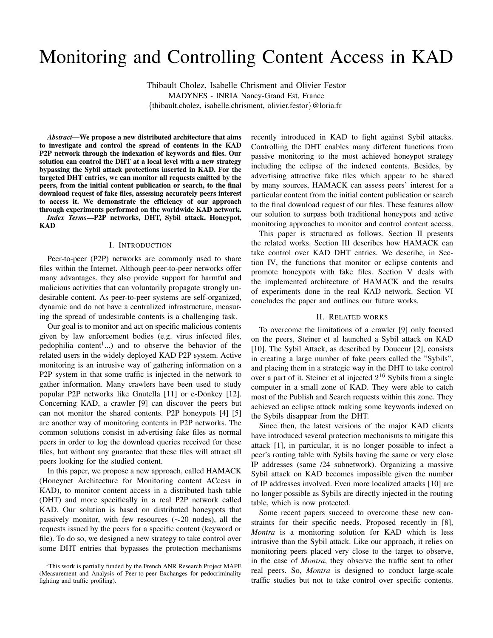# Monitoring and Controlling Content Access in KAD

Thibault Cholez, Isabelle Chrisment and Olivier Festor MADYNES - INRIA Nancy-Grand Est, France {thibault.cholez, isabelle.chrisment, olivier.festor}@loria.fr

*Abstract*—We propose a new distributed architecture that aims to investigate and control the spread of contents in the KAD P2P network through the indexation of keywords and files. Our solution can control the DHT at a local level with a new strategy bypassing the Sybil attack protections inserted in KAD. For the targeted DHT entries, we can monitor all requests emitted by the peers, from the initial content publication or search, to the final download request of fake files, assessing accurately peers interest to access it. We demonstrate the efficiency of our approach through experiments performed on the worldwide KAD network.

*Index Terms*—P2P networks, DHT, Sybil attack, Honeypot, KAD

#### I. INTRODUCTION

Peer-to-peer (P2P) networks are commonly used to share files within the Internet. Although peer-to-peer networks offer many advantages, they also provide support for harmful and malicious activities that can voluntarily propagate strongly undesirable content. As peer-to-peer systems are self-organized, dynamic and do not have a centralized infrastructure, measuring the spread of undesirable contents is a challenging task.

Our goal is to monitor and act on specific malicious contents given by law enforcement bodies (e.g. virus infected files, pedophilia content<sup>1</sup>...) and to observe the behavior of the related users in the widely deployed KAD P2P system. Active monitoring is an intrusive way of gathering information on a P2P system in that some traffic is injected in the network to gather information. Many crawlers have been used to study popular P2P networks like Gnutella [11] or e-Donkey [12]. Concerning KAD, a crawler [9] can discover the peers but can not monitor the shared contents. P2P honeypots [4] [5] are another way of monitoring contents in P2P networks. The common solutions consist in advertising fake files as normal peers in order to log the download queries received for these files, but without any guarantee that these files will attract all peers looking for the studied content.

In this paper, we propose a new approach, called HAMACK (Honeynet Architecture for Monitoring content ACcess in KAD), to monitor content access in a distributed hash table (DHT) and more specifically in a real P2P network called KAD. Our solution is based on distributed honeypots that passively monitor, with few resources ( $\sim$ 20 nodes), all the requests issued by the peers for a specific content (keyword or file). To do so, we designed a new strategy to take control over some DHT entries that bypasses the protection mechanisms recently introduced in KAD to fight against Sybil attacks. Controlling the DHT enables many different functions from passive monitoring to the most achieved honeypot strategy including the eclipse of the indexed contents. Besides, by advertising attractive fake files which appear to be shared by many sources, HAMACK can assess peers' interest for a particular content from the initial content publication or search to the final download request of our files. These features allow our solution to surpass both traditional honeypots and active monitoring approaches to monitor and control content access.

This paper is structured as follows. Section II presents the related works. Section III describes how HAMACK can take control over KAD DHT entries. We describe, in Section IV, the functions that monitor or eclipse contents and promote honeypots with fake files. Section V deals with the implemented architecture of HAMACK and the results of experiments done in the real KAD network. Section VI concludes the paper and outlines our future works.

#### II. RELATED WORKS

To overcome the limitations of a crawler [9] only focused on the peers, Steiner et al launched a Sybil attack on KAD [10]. The Sybil Attack, as described by Douceur [2], consists in creating a large number of fake peers called the "Sybils", and placing them in a strategic way in the DHT to take control over a part of it. Steiner et al injected  $2^{16}$  Sybils from a single computer in a small zone of KAD. They were able to catch most of the Publish and Search requests within this zone. They achieved an eclipse attack making some keywords indexed on the Sybils disappear from the DHT.

Since then, the latest versions of the major KAD clients have introduced several protection mechanisms to mitigate this attack [1], in particular, it is no longer possible to infect a peer's routing table with Sybils having the same or very close IP addresses (same /24 subnetwork). Organizing a massive Sybil attack on KAD becomes impossible given the number of IP addresses involved. Even more localized attacks [10] are no longer possible as Sybils are directly injected in the routing table, which is now protected.

Some recent papers succeed to overcome these new constraints for their specific needs. Proposed recently in [8], *Montra* is a monitoring solution for KAD which is less intrusive than the Sybil attack. Like our approach, it relies on monitoring peers placed very close to the target to observe, in the case of *Montra*, they observe the traffic sent to other real peers. So, *Montra* is designed to conduct large-scale traffic studies but not to take control over specific contents.

<sup>&</sup>lt;sup>1</sup>This work is partially funded by the French ANR Research Project MAPE (Measurement and Analysis of Peer-to-peer Exchanges for pedocriminality fighting and traffic profiling).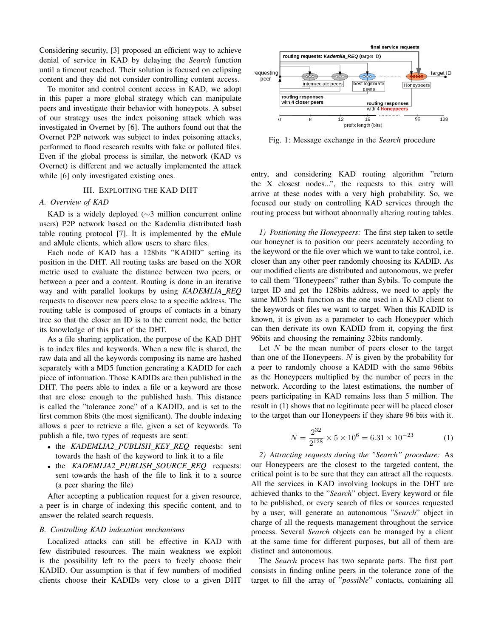Considering security, [3] proposed an efficient way to achieve denial of service in KAD by delaying the *Search* function until a timeout reached. Their solution is focused on eclipsing content and they did not consider controlling content access.

To monitor and control content access in KAD, we adopt in this paper a more global strategy which can manipulate peers and investigate their behavior with honeypots. A subset of our strategy uses the index poisoning attack which was investigated in Overnet by [6]. The authors found out that the Overnet P2P network was subject to index poisoning attacks, performed to flood research results with fake or polluted files. Even if the global process is similar, the network (KAD vs Overnet) is different and we actually implemented the attack while [6] only investigated existing ones.

#### III. EXPLOITING THE KAD DHT

#### *A. Overview of KAD*

KAD is a widely deployed (∼3 million concurrent online users) P2P network based on the Kademlia distributed hash table routing protocol [7]. It is implemented by the eMule and aMule clients, which allow users to share files.

Each node of KAD has a 128bits "KADID" setting its position in the DHT. All routing tasks are based on the XOR metric used to evaluate the distance between two peers, or between a peer and a content. Routing is done in an iterative way and with parallel lookups by using *KADEMLIA REQ* requests to discover new peers close to a specific address. The routing table is composed of groups of contacts in a binary tree so that the closer an ID is to the current node, the better its knowledge of this part of the DHT.

As a file sharing application, the purpose of the KAD DHT is to index files and keywords. When a new file is shared, the raw data and all the keywords composing its name are hashed separately with a MD5 function generating a KADID for each piece of information. Those KADIDs are then published in the DHT. The peers able to index a file or a keyword are those that are close enough to the published hash. This distance is called the "tolerance zone" of a KADID, and is set to the first common 8bits (the most significant). The double indexing allows a peer to retrieve a file, given a set of keywords. To publish a file, two types of requests are sent:

- the *KADEMLIA2 PUBLISH KEY REQ* requests: sent towards the hash of the keyword to link it to a file
- the *KADEMLIA2 PUBLISH SOURCE REQ* requests: sent towards the hash of the file to link it to a source (a peer sharing the file)

After accepting a publication request for a given resource, a peer is in charge of indexing this specific content, and to answer the related search requests.

#### *B. Controlling KAD indexation mechanisms*

Localized attacks can still be effective in KAD with few distributed resources. The main weakness we exploit is the possibility left to the peers to freely choose their KADID. Our assumption is that if few numbers of modified clients choose their KADIDs very close to a given DHT



Fig. 1: Message exchange in the *Search* procedure

entry, and considering KAD routing algorithm "return the X closest nodes...", the requests to this entry will arrive at these nodes with a very high probability. So, we focused our study on controlling KAD services through the routing process but without abnormally altering routing tables.

*1) Positioning the Honeypeers:* The first step taken to settle our honeynet is to position our peers accurately according to the keyword or the file over which we want to take control, i.e. closer than any other peer randomly choosing its KADID. As our modified clients are distributed and autonomous, we prefer to call them "Honeypeers" rather than Sybils. To compute the target ID and get the 128bits address, we need to apply the same MD5 hash function as the one used in a KAD client to the keywords or files we want to target. When this KADID is known, it is given as a parameter to each Honeypeer which can then derivate its own KADID from it, copying the first 96bits and choosing the remaining 32bits randomly.

Let  $N$  be the mean number of peers closer to the target than one of the Honeypeers.  $N$  is given by the probability for a peer to randomly choose a KADID with the same 96bits as the Honeypeers multiplied by the number of peers in the network. According to the latest estimations, the number of peers participating in KAD remains less than 5 million. The result in (1) shows that no legitimate peer will be placed closer to the target than our Honeypeers if they share 96 bits with it.

$$
N = \frac{2^{32}}{2^{128}} \times 5 \times 10^6 = 6.31 \times 10^{-23}
$$
 (1)

*2) Attracting requests during the "Search" procedure:* As our Honeypeers are the closest to the targeted content, the critical point is to be sure that they can attract all the requests. All the services in KAD involving lookups in the DHT are achieved thanks to the "*Search*" object. Every keyword or file to be published, or every search of files or sources requested by a user, will generate an autonomous "*Search*" object in charge of all the requests management throughout the service process. Several *Search* objects can be managed by a client at the same time for different purposes, but all of them are distinct and autonomous.

The *Search* process has two separate parts. The first part consists in finding online peers in the tolerance zone of the target to fill the array of "*possible*" contacts, containing all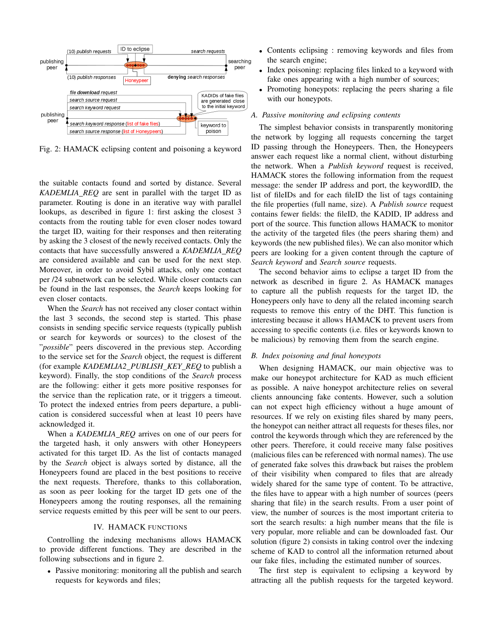

Fig. 2: HAMACK eclipsing content and poisoning a keyword

the suitable contacts found and sorted by distance. Several *KADEMLIA REQ* are sent in parallel with the target ID as parameter. Routing is done in an iterative way with parallel lookups, as described in figure 1: first asking the closest 3 contacts from the routing table for even closer nodes toward the target ID, waiting for their responses and then reiterating by asking the 3 closest of the newly received contacts. Only the contacts that have successfully answered a *KADEMLIA REQ* are considered available and can be used for the next step. Moreover, in order to avoid Sybil attacks, only one contact per /24 subnetwork can be selected. While closer contacts can be found in the last responses, the *Search* keeps looking for even closer contacts.

When the *Search* has not received any closer contact within the last 3 seconds, the second step is started. This phase consists in sending specific service requests (typically publish or search for keywords or sources) to the closest of the "*possible*" peers discovered in the previous step. According to the service set for the *Search* object, the request is different (for example *KADEMLIA2 PUBLISH KEY REQ* to publish a keyword). Finally, the stop conditions of the *Search* process are the following: either it gets more positive responses for the service than the replication rate, or it triggers a timeout. To protect the indexed entries from peers departure, a publication is considered successful when at least 10 peers have acknowledged it.

When a *KADEMLIA REQ* arrives on one of our peers for the targeted hash, it only answers with other Honeypeers activated for this target ID. As the list of contacts managed by the *Search* object is always sorted by distance, all the Honeypeers found are placed in the best positions to receive the next requests. Therefore, thanks to this collaboration, as soon as peer looking for the target ID gets one of the Honeypeers among the routing responses, all the remaining service requests emitted by this peer will be sent to our peers.

#### IV. HAMACK FUNCTIONS

Controlling the indexing mechanisms allows HAMACK to provide different functions. They are described in the following subsections and in figure 2.

• Passive monitoring: monitoring all the publish and search requests for keywords and files;

- Contents eclipsing : removing keywords and files from the search engine;
- Index poisoning: replacing files linked to a keyword with fake ones appearing with a high number of sources;
- Promoting honeypots: replacing the peers sharing a file with our honeypots.

#### *A. Passive monitoring and eclipsing contents*

The simplest behavior consists in transparently monitoring the network by logging all requests concerning the target ID passing through the Honeypeers. Then, the Honeypeers answer each request like a normal client, without disturbing the network. When a *Publish keyword* request is received, HAMACK stores the following information from the request message: the sender IP address and port, the keywordID, the list of fileIDs and for each fileID the list of tags containing the file properties (full name, size). A *Publish source* request contains fewer fields: the fileID, the KADID, IP address and port of the source. This function allows HAMACK to monitor the activity of the targeted files (the peers sharing them) and keywords (the new published files). We can also monitor which peers are looking for a given content through the capture of *Search keyword* and *Search source* requests.

The second behavior aims to eclipse a target ID from the network as described in figure 2. As HAMACK manages to capture all the publish requests for the target ID, the Honeypeers only have to deny all the related incoming search requests to remove this entry of the DHT. This function is interesting because it allows HAMACK to prevent users from accessing to specific contents (i.e. files or keywords known to be malicious) by removing them from the search engine.

#### *B. Index poisoning and final honeypots*

When designing HAMACK, our main objective was to make our honeypot architecture for KAD as much efficient as possible. A naive honeypot architecture relies on several clients announcing fake contents. However, such a solution can not expect high efficiency without a huge amount of resources. If we rely on existing files shared by many peers, the honeypot can neither attract all requests for theses files, nor control the keywords through which they are referenced by the other peers. Therefore, it could receive many false positives (malicious files can be referenced with normal names). The use of generated fake solves this drawback but raises the problem of their visibility when compared to files that are already widely shared for the same type of content. To be attractive, the files have to appear with a high number of sources (peers sharing that file) in the search results. From a user point of view, the number of sources is the most important criteria to sort the search results: a high number means that the file is very popular, more reliable and can be downloaded fast. Our solution (figure 2) consists in taking control over the indexing scheme of KAD to control all the information returned about our fake files, including the estimated number of sources.

The first step is equivalent to eclipsing a keyword by attracting all the publish requests for the targeted keyword.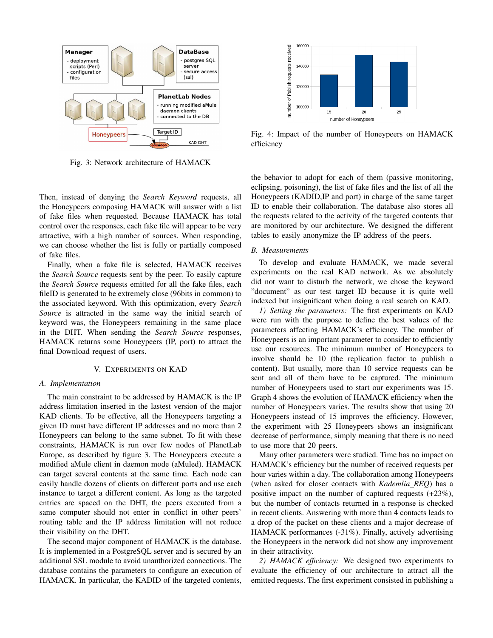

Fig. 3: Network architecture of HAMACK

Then, instead of denying the *Search Keyword* requests, all the Honeypeers composing HAMACK will answer with a list of fake files when requested. Because HAMACK has total control over the responses, each fake file will appear to be very attractive, with a high number of sources. When responding, we can choose whether the list is fully or partially composed of fake files.

Finally, when a fake file is selected, HAMACK receives the *Search Source* requests sent by the peer. To easily capture the *Search Source* requests emitted for all the fake files, each fileID is generated to be extremely close (96bits in common) to the associated keyword. With this optimization, every *Search Source* is attracted in the same way the initial search of keyword was, the Honeypeers remaining in the same place in the DHT. When sending the *Search Source* responses, HAMACK returns some Honeypeers (IP, port) to attract the final Download request of users.

#### V. EXPERIMENTS ON KAD

#### *A. Implementation*

The main constraint to be addressed by HAMACK is the IP address limitation inserted in the lastest version of the major KAD clients. To be effective, all the Honeypeers targeting a given ID must have different IP addresses and no more than 2 Honeypeers can belong to the same subnet. To fit with these constraints, HAMACK is run over few nodes of PlanetLab Europe, as described by figure 3. The Honeypeers execute a modified aMule client in daemon mode (aMuled). HAMACK can target several contents at the same time. Each node can easily handle dozens of clients on different ports and use each instance to target a different content. As long as the targeted entries are spaced on the DHT, the peers executed from a same computer should not enter in conflict in other peers' routing table and the IP address limitation will not reduce their visibility on the DHT.

The second major component of HAMACK is the database. It is implemented in a PostgreSQL server and is secured by an additional SSL module to avoid unauthorized connections. The database contains the parameters to configure an execution of HAMACK. In particular, the KADID of the targeted contents,



Fig. 4: Impact of the number of Honeypeers on HAMACK efficiency

the behavior to adopt for each of them (passive monitoring, eclipsing, poisoning), the list of fake files and the list of all the Honeypeers (KADID,IP and port) in charge of the same target ID to enable their collaboration. The database also stores all the requests related to the activity of the targeted contents that are monitored by our architecture. We designed the different tables to easily anonymize the IP address of the peers.

#### *B. Measurements*

To develop and evaluate HAMACK, we made several experiments on the real KAD network. As we absolutely did not want to disturb the network, we chose the keyword "document" as our test target ID because it is quite well indexed but insignificant when doing a real search on KAD.

*1) Setting the parameters:* The first experiments on KAD were run with the purpose to define the best values of the parameters affecting HAMACK's efficiency. The number of Honeypeers is an important parameter to consider to efficiently use our resources. The minimum number of Honeypeers to involve should be 10 (the replication factor to publish a content). But usually, more than 10 service requests can be sent and all of them have to be captured. The minimum number of Honeypeers used to start our experiments was 15. Graph 4 shows the evolution of HAMACK efficiency when the number of Honeypeers varies. The results show that using 20 Honeypeers instead of 15 improves the efficiency. However, the experiment with 25 Honeypeers shows an insignificant decrease of performance, simply meaning that there is no need to use more that 20 peers.

Many other parameters were studied. Time has no impact on HAMACK's efficiency but the number of received requests per hour varies within a day. The collaboration among Honeypeers (when asked for closer contacts with *Kademlia REQ*) has a positive impact on the number of captured requests (+23%), but the number of contacts returned in a response is checked in recent clients. Answering with more than 4 contacts leads to a drop of the packet on these clients and a major decrease of HAMACK performances (-31%). Finally, actively advertising the Honeypeers in the network did not show any improvement in their attractivity.

*2) HAMACK efficiency:* We designed two experiments to evaluate the efficiency of our architecture to attract all the emitted requests. The first experiment consisted in publishing a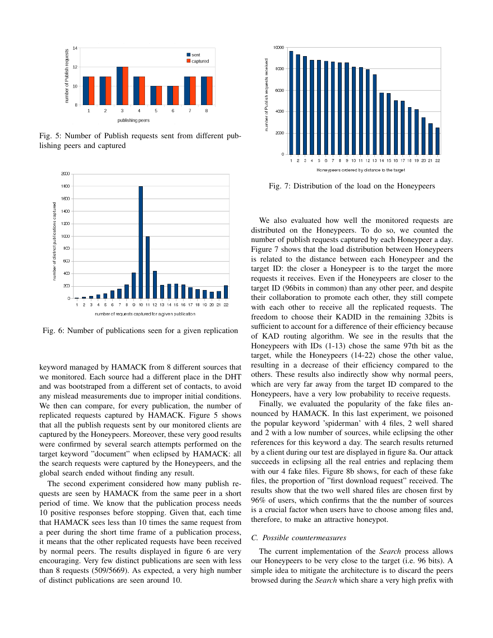

Fig. 5: Number of Publish requests sent from different publishing peers and captured



Fig. 6: Number of publications seen for a given replication

keyword managed by HAMACK from 8 different sources that we monitored. Each source had a different place in the DHT and was bootstraped from a different set of contacts, to avoid any mislead measurements due to improper initial conditions. We then can compare, for every publication, the number of replicated requests captured by HAMACK. Figure 5 shows that all the publish requests sent by our monitored clients are captured by the Honeypeers. Moreover, these very good results were confirmed by several search attempts performed on the target keyword "document" when eclipsed by HAMACK: all the search requests were captured by the Honeypeers, and the global search ended without finding any result.

The second experiment considered how many publish requests are seen by HAMACK from the same peer in a short period of time. We know that the publication process needs 10 positive responses before stopping. Given that, each time that HAMACK sees less than 10 times the same request from a peer during the short time frame of a publication process, it means that the other replicated requests have been received by normal peers. The results displayed in figure 6 are very encouraging. Very few distinct publications are seen with less than 8 requests (509/5669). As expected, a very high number of distinct publications are seen around 10.



Fig. 7: Distribution of the load on the Honeypeers

We also evaluated how well the monitored requests are distributed on the Honeypeers. To do so, we counted the number of publish requests captured by each Honeypeer a day. Figure 7 shows that the load distribution between Honeypeers is related to the distance between each Honeypeer and the target ID: the closer a Honeypeer is to the target the more requests it receives. Even if the Honeypeers are closer to the target ID (96bits in common) than any other peer, and despite their collaboration to promote each other, they still compete with each other to receive all the replicated requests. The freedom to choose their KADID in the remaining 32bits is sufficient to account for a difference of their efficiency because of KAD routing algorithm. We see in the results that the Honeypeers with IDs (1-13) chose the same 97th bit as the target, while the Honeypeers (14-22) chose the other value, resulting in a decrease of their efficiency compared to the others. These results also indirectly show why normal peers, which are very far away from the target ID compared to the Honeypeers, have a very low probability to receive requests.

Finally, we evaluated the popularity of the fake files announced by HAMACK. In this last experiment, we poisoned the popular keyword 'spiderman' with 4 files, 2 well shared and 2 with a low number of sources, while eclipsing the other references for this keyword a day. The search results returned by a client during our test are displayed in figure 8a. Our attack succeeds in eclipsing all the real entries and replacing them with our 4 fake files. Figure 8b shows, for each of these fake files, the proportion of "first download request" received. The results show that the two well shared files are chosen first by 96% of users, which confirms that the the number of sources is a crucial factor when users have to choose among files and, therefore, to make an attractive honeypot.

#### *C. Possible countermeasures*

The current implementation of the *Search* process allows our Honeypeers to be very close to the target (i.e. 96 bits). A simple idea to mitigate the architecture is to discard the peers browsed during the *Search* which share a very high prefix with